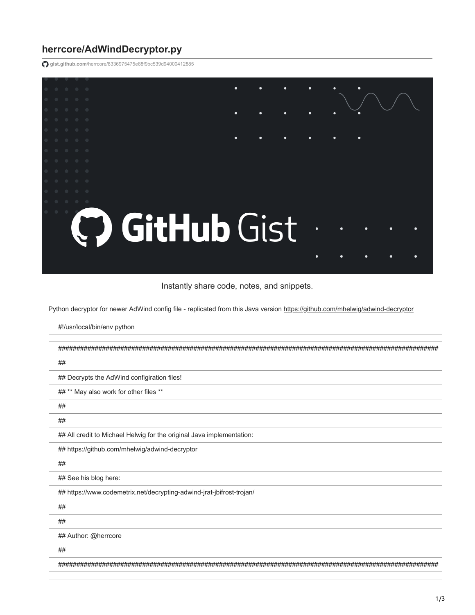## **herrcore/AdWindDecryptor.py**

#!/usr/local/bin/env python

**gist.github.com**[/herrcore/8336975475e88f9bc539d94000412885](https://gist.github.com/herrcore/8336975475e88f9bc539d94000412885)

|                                                                                                         |  |  |  |  |  | ٠ |   |   | ٠ |   |   |  |
|---------------------------------------------------------------------------------------------------------|--|--|--|--|--|---|---|---|---|---|---|--|
|                                                                                                         |  |  |  |  |  | ٠ | ٠ | ٠ | ٠ | ٠ |   |  |
|                                                                                                         |  |  |  |  |  |   |   |   |   |   |   |  |
|                                                                                                         |  |  |  |  |  | ٠ | ٠ |   | ٠ | ٠ | ٠ |  |
|                                                                                                         |  |  |  |  |  |   |   |   |   |   |   |  |
|                                                                                                         |  |  |  |  |  |   |   |   |   |   |   |  |
|                                                                                                         |  |  |  |  |  |   |   |   |   |   |   |  |
| $\begin{array}{ccccccccccccc} 0 & 0 & 0 & 0 & \end{array}$<br>C GitHub Gist<br>$\bullet$<br>٠<br>٠<br>٠ |  |  |  |  |  |   |   |   |   |   |   |  |
|                                                                                                         |  |  |  |  |  |   |   |   |   |   |   |  |

Instantly share code, notes, and snippets.

Python decryptor for newer AdWind config file - replicated from this Java version <https://github.com/mhelwig/adwind-decryptor>

| ##                                                                    |
|-----------------------------------------------------------------------|
| ## Decrypts the AdWind configiration files!                           |
| ## ** May also work for other files **                                |
| ##                                                                    |
| ##                                                                    |
| ## All credit to Michael Helwig for the original Java implementation: |
| ## https://github.com/mhelwig/adwind-decryptor                        |
| ##                                                                    |
| ## See his blog here:                                                 |
| ## https://www.codemetrix.net/decrypting-adwind-jrat-jbifrost-trojan/ |
| ##                                                                    |
| ##                                                                    |
| ## Author: @herrcore                                                  |
| ##                                                                    |
| ################################                                      |
|                                                                       |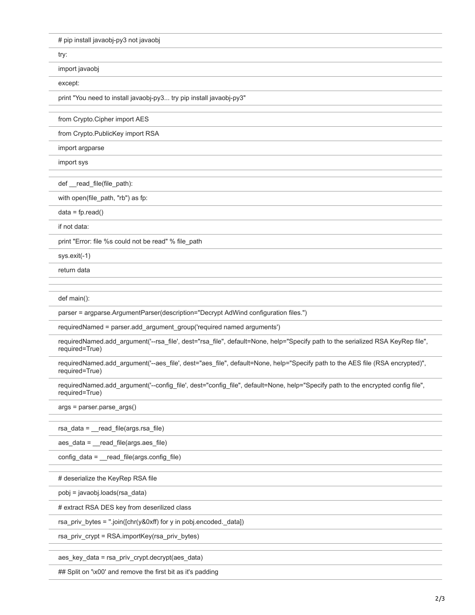# pip install javaobj-py3 not javaobj

try:

import javaobj

except:

print "You need to install javaobj-py3... try pip install javaobj-py3"

from Crypto.Cipher import AES

from Crypto.PublicKey import RSA

import argparse

import sys

def \_\_read\_file(file\_path):

with open(file\_path, "rb") as fp:

 $data = fp.read()$ 

if not data:

print "Error: file %s could not be read" % file\_path

sys.exit(-1)

return data

def main():

parser = argparse.ArgumentParser(description="Decrypt AdWind configuration files.")

requiredNamed = parser.add\_argument\_group('required named arguments')

requiredNamed.add\_argument('--rsa\_file', dest="rsa\_file", default=None, help="Specify path to the serialized RSA KeyRep file", required=True)

requiredNamed.add\_argument('--aes\_file', dest="aes\_file", default=None, help="Specify path to the AES file (RSA encrypted)", required=True)

requiredNamed.add\_argument('--config\_file', dest="config\_file", default=None, help="Specify path to the encrypted config file", required=True)

args = parser.parse\_args()

rsa\_data = \_\_read\_file(args.rsa\_file)

aes\_data = \_\_read\_file(args.aes\_file)

config\_data = \_\_read\_file(args.config\_file)

# deserialize the KeyRep RSA file

pobj = javaobj.loads(rsa\_data)

# extract RSA DES key from deserilized class

rsa\_priv\_bytes = ''.join([chr(y&0xff) for y in pobj.encoded.\_data])

rsa\_priv\_crypt = RSA.importKey(rsa\_priv\_bytes)

aes\_key\_data = rsa\_priv\_crypt.decrypt(aes\_data)

## Split on '\x00' and remove the first bit as it's padding